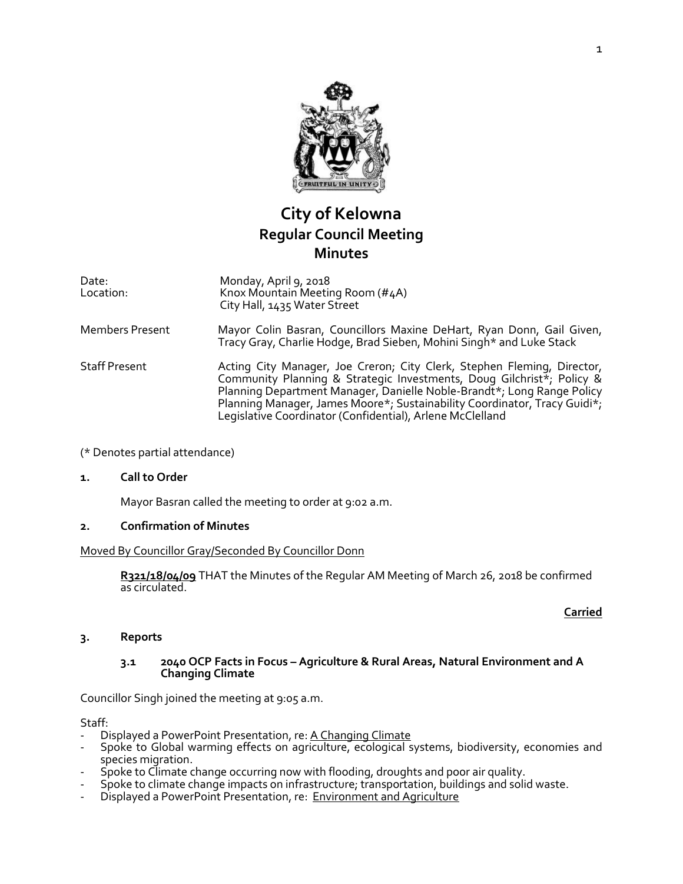

# **City of Kelowna Regular Council Meeting Minutes**

| Date:<br>Location:     | Monday, April 9, 2018<br>Knox Mountain Meeting Room (#4A)<br>City Hall, 1435 Water Street                                                                                                                                  |
|------------------------|----------------------------------------------------------------------------------------------------------------------------------------------------------------------------------------------------------------------------|
| <b>Members Present</b> | Mayor Colin Basran, Councillors Maxine DeHart, Ryan Donn, Gail Given,<br>Tracy Gray, Charlie Hodge, Brad Sieben, Mohini Singh* and Luke Stack                                                                              |
| <b>Staff Present</b>   | Acting City Manager, Joe Creron; City Clerk, Stephen Fleming, Director,<br>Community Planning & Strategic Investments, Doug Gilchrist*; Policy &<br>Planning Department Manager, Danielle Noble-Brandt*; Long Range Policy |

(\* Denotes partial attendance)

#### **1. Call to Order**

Mayor Basran called the meeting to order at 9:02 a.m.

#### **2. Confirmation of Minutes**

Moved By Councillor Gray/Seconded By Councillor Donn

**R321/18/04/09** THAT the Minutes of the Regular AM Meeting of March 26, 2018 be confirmed as circulated.

Legislative Coordinator (Confidential), Arlene McClelland

Planning Manager, James Moore\*; Sustainability Coordinator, Tracy Guidi\*;

#### **Carried**

#### **3. Reports**

#### **3.1 2040 OCP Facts in Focus – Agriculture & Rural Areas, Natural Environment and A Changing Climate**

Councillor Singh joined the meeting at 9:05 a.m.

Staff:

- Displayed a PowerPoint Presentation, re: A Changing Climate
- Spoke to Global warming effects on agriculture, ecological systems, biodiversity, economies and species migration.
- Spoke to Climate change occurring now with flooding, droughts and poor air quality.
- Spoke to climate change impacts on infrastructure; transportation, buildings and solid waste.
- Displayed a PowerPoint Presentation, re: Environment and Agriculture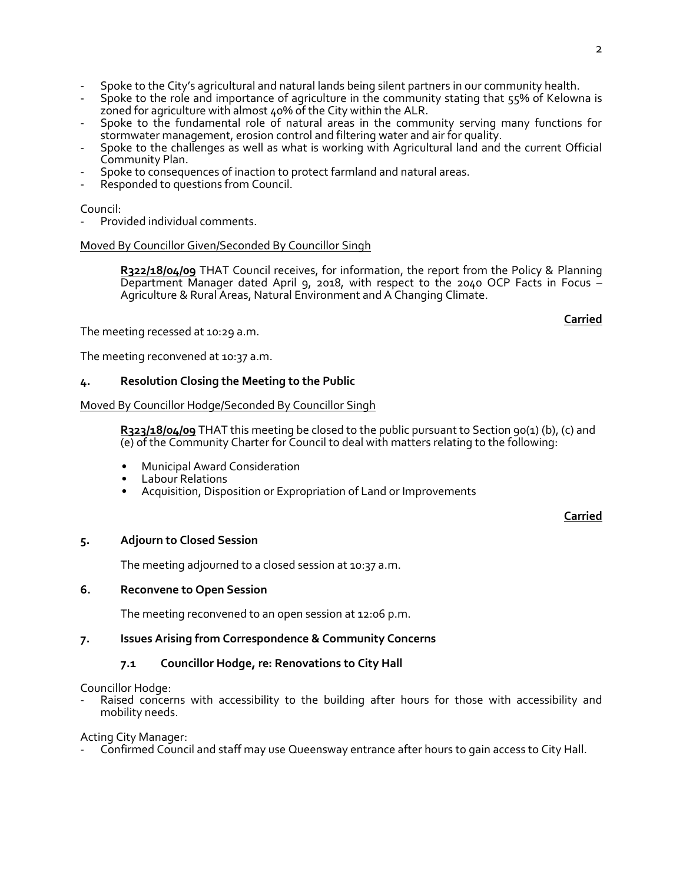- Spoke to the City's agricultural and natural lands being silent partners in our community health.
- Spoke to the role and importance of agriculture in the community stating that 55% of Kelowna is zoned for agriculture with almost 40% of the City within the ALR.
- Spoke to the fundamental role of natural areas in the community serving many functions for stormwater management, erosion control and filtering water and air for quality.
- Spoke to the challenges as well as what is working with Agricultural land and the current Official Community Plan.
- Spoke to consequences of inaction to protect farmland and natural areas.
- Responded to questions from Council.

#### Council:

Provided individual comments.

#### Moved By Councillor Given/Seconded By Councillor Singh

**R322/18/04/09** THAT Council receives, for information, the report from the Policy & Planning Department Manager dated April 9, 2018, with respect to the 2040 OCP Facts in Focus – Agriculture & Rural Areas, Natural Environment and A Changing Climate.

The meeting recessed at 10:29 a.m.

The meeting reconvened at 10:37 a.m.

#### **4. Resolution Closing the Meeting to the Public**

#### Moved By Councillor Hodge/Seconded By Councillor Singh

**R323/18/04/09** THAT this meeting be closed to the public pursuant to Section 90(1) (b), (c) and (e) of the Community Charter for Council to deal with matters relating to the following:

- Municipal Award Consideration
- Labour Relations
- Acquisition, Disposition or Expropriation of Land or Improvements

**Carried**

**Carried**

#### **5. Adjourn to Closed Session**

The meeting adjourned to a closed session at 10:37 a.m.

#### **6. Reconvene to Open Session**

The meeting reconvened to an open session at 12:06 p.m.

#### **7. Issues Arising from Correspondence & Community Concerns**

## **7.1 Councillor Hodge, re: Renovations to City Hall**

Councillor Hodge:

Raised concerns with accessibility to the building after hours for those with accessibility and mobility needs.

Acting City Manager:

Confirmed Council and staff may use Queensway entrance after hours to gain access to City Hall.